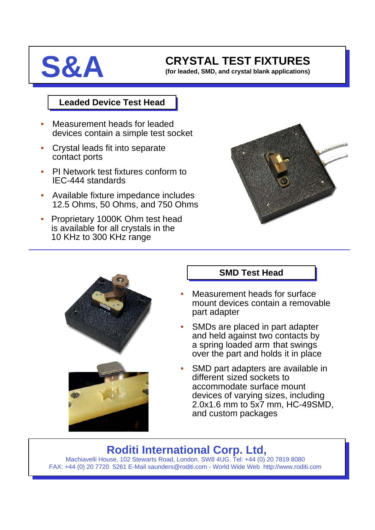

# **S&A** CRYSTAL TEST FIXTURES

**(for leaded, SMD, and crystal blank applications)**

#### **Leaded Device Test Head**

- Measurement heads for leaded devices contain a simple test socket
- Crystal leads fit into separate contact ports
- PI Network test fixtures conform to IEC-444 standards
- Available fixture impedance includes 12.5 Ohms, 50 Ohms, and 750 Ohms
- Proprietary 1000K Ohm test head is available for all crystals in the 10 KHz to 300 KHz range





### **SMD Test Head**

- Measurement heads for surface mount devices contain a removable part adapter
- SMDs are placed in part adapter and held against two contacts by a spring loaded arm that swings over the part and holds it in place
- SMD part adapters are available in different sized sockets to accommodate surface mount devices of varying sizes, including 2.0x1.6 mm to 5x7 mm, HC-49SMD, and custom packages

## **Roditi International Corp. Ltd,**

Machiavelli House, 102 Stewarts Road, London. SW8 4UG. Tel: +44 (0) 20 7819 8080 FAX: +44 (0) 20 7720 5261 E-Mail saunders@roditi.com - World Wide Web http://www.roditi.com